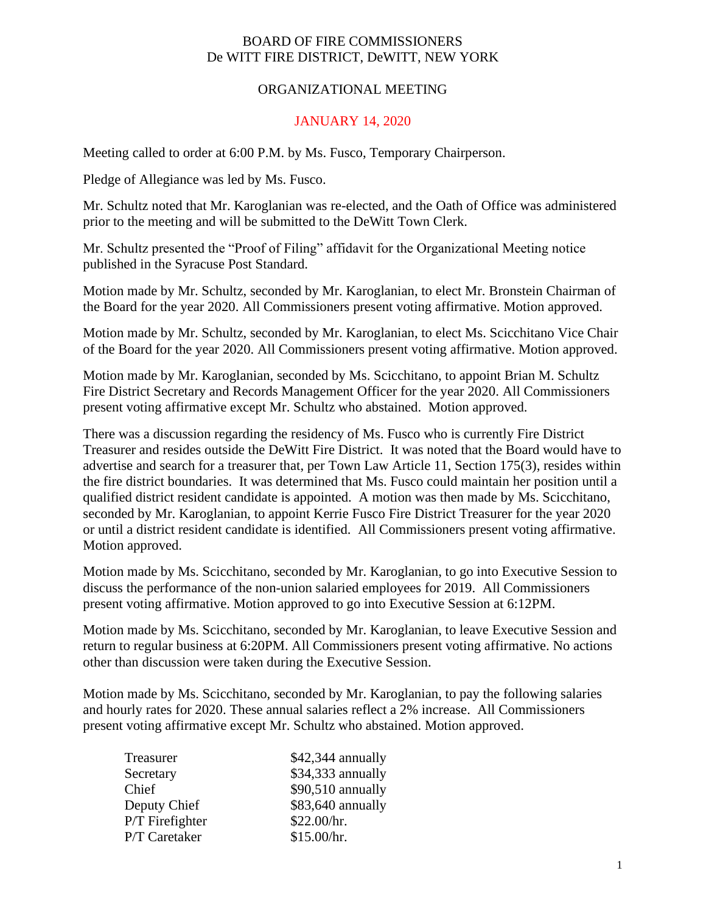## BOARD OF FIRE COMMISSIONERS De WITT FIRE DISTRICT, DeWITT, NEW YORK

## ORGANIZATIONAL MEETING

## JANUARY 14, 2020

Meeting called to order at 6:00 P.M. by Ms. Fusco, Temporary Chairperson.

Pledge of Allegiance was led by Ms. Fusco.

Mr. Schultz noted that Mr. Karoglanian was re-elected, and the Oath of Office was administered prior to the meeting and will be submitted to the DeWitt Town Clerk.

Mr. Schultz presented the "Proof of Filing" affidavit for the Organizational Meeting notice published in the Syracuse Post Standard.

Motion made by Mr. Schultz, seconded by Mr. Karoglanian, to elect Mr. Bronstein Chairman of the Board for the year 2020. All Commissioners present voting affirmative. Motion approved.

Motion made by Mr. Schultz, seconded by Mr. Karoglanian, to elect Ms. Scicchitano Vice Chair of the Board for the year 2020. All Commissioners present voting affirmative. Motion approved.

Motion made by Mr. Karoglanian, seconded by Ms. Scicchitano, to appoint Brian M. Schultz Fire District Secretary and Records Management Officer for the year 2020. All Commissioners present voting affirmative except Mr. Schultz who abstained. Motion approved.

There was a discussion regarding the residency of Ms. Fusco who is currently Fire District Treasurer and resides outside the DeWitt Fire District. It was noted that the Board would have to advertise and search for a treasurer that, per Town Law Article 11, Section 175(3), resides within the fire district boundaries. It was determined that Ms. Fusco could maintain her position until a qualified district resident candidate is appointed. A motion was then made by Ms. Scicchitano, seconded by Mr. Karoglanian, to appoint Kerrie Fusco Fire District Treasurer for the year 2020 or until a district resident candidate is identified. All Commissioners present voting affirmative. Motion approved.

Motion made by Ms. Scicchitano, seconded by Mr. Karoglanian, to go into Executive Session to discuss the performance of the non-union salaried employees for 2019. All Commissioners present voting affirmative. Motion approved to go into Executive Session at 6:12PM.

Motion made by Ms. Scicchitano, seconded by Mr. Karoglanian, to leave Executive Session and return to regular business at 6:20PM. All Commissioners present voting affirmative. No actions other than discussion were taken during the Executive Session.

Motion made by Ms. Scicchitano, seconded by Mr. Karoglanian, to pay the following salaries and hourly rates for 2020. These annual salaries reflect a 2% increase. All Commissioners present voting affirmative except Mr. Schultz who abstained. Motion approved.

| Treasurer       | \$42,344 annually |
|-----------------|-------------------|
| Secretary       | \$34,333 annually |
| Chief           | \$90,510 annually |
| Deputy Chief    | \$83,640 annually |
| P/T Firefighter | \$22.00/hr.       |
| P/T Caretaker   | \$15.00/hr.       |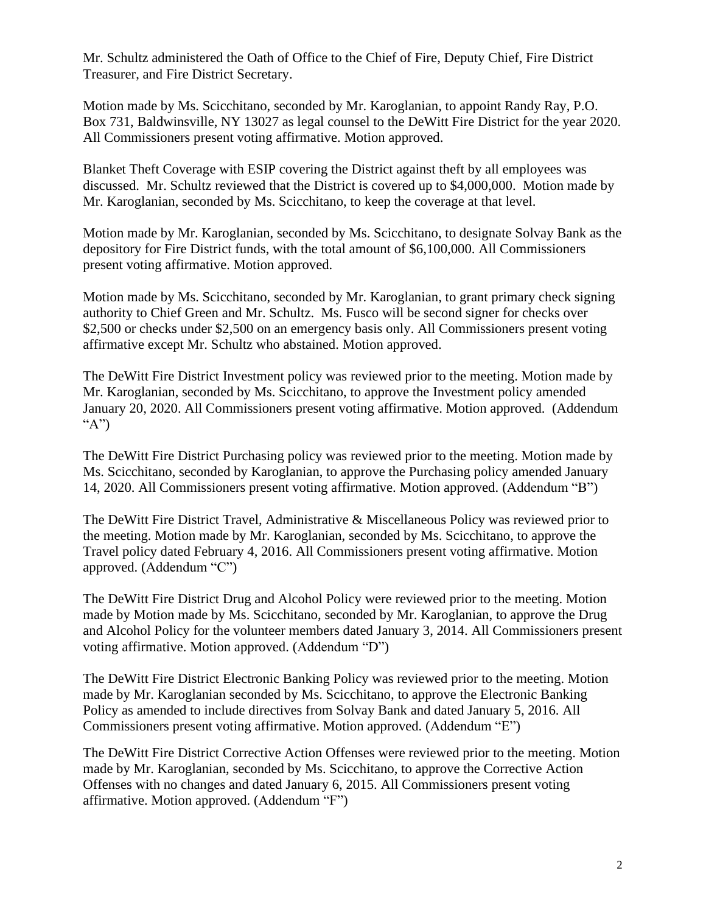Mr. Schultz administered the Oath of Office to the Chief of Fire, Deputy Chief, Fire District Treasurer, and Fire District Secretary.

Motion made by Ms. Scicchitano, seconded by Mr. Karoglanian, to appoint Randy Ray, P.O. Box 731, Baldwinsville, NY 13027 as legal counsel to the DeWitt Fire District for the year 2020. All Commissioners present voting affirmative. Motion approved.

Blanket Theft Coverage with ESIP covering the District against theft by all employees was discussed. Mr. Schultz reviewed that the District is covered up to \$4,000,000. Motion made by Mr. Karoglanian, seconded by Ms. Scicchitano, to keep the coverage at that level.

Motion made by Mr. Karoglanian, seconded by Ms. Scicchitano, to designate Solvay Bank as the depository for Fire District funds, with the total amount of \$6,100,000. All Commissioners present voting affirmative. Motion approved.

Motion made by Ms. Scicchitano, seconded by Mr. Karoglanian, to grant primary check signing authority to Chief Green and Mr. Schultz. Ms. Fusco will be second signer for checks over \$2,500 or checks under \$2,500 on an emergency basis only. All Commissioners present voting affirmative except Mr. Schultz who abstained. Motion approved.

The DeWitt Fire District Investment policy was reviewed prior to the meeting. Motion made by Mr. Karoglanian, seconded by Ms. Scicchitano, to approve the Investment policy amended January 20, 2020. All Commissioners present voting affirmative. Motion approved. (Addendum "A")

The DeWitt Fire District Purchasing policy was reviewed prior to the meeting. Motion made by Ms. Scicchitano, seconded by Karoglanian, to approve the Purchasing policy amended January 14, 2020. All Commissioners present voting affirmative. Motion approved. (Addendum "B")

The DeWitt Fire District Travel, Administrative & Miscellaneous Policy was reviewed prior to the meeting. Motion made by Mr. Karoglanian, seconded by Ms. Scicchitano, to approve the Travel policy dated February 4, 2016. All Commissioners present voting affirmative. Motion approved. (Addendum "C")

The DeWitt Fire District Drug and Alcohol Policy were reviewed prior to the meeting. Motion made by Motion made by Ms. Scicchitano, seconded by Mr. Karoglanian, to approve the Drug and Alcohol Policy for the volunteer members dated January 3, 2014. All Commissioners present voting affirmative. Motion approved. (Addendum "D")

The DeWitt Fire District Electronic Banking Policy was reviewed prior to the meeting. Motion made by Mr. Karoglanian seconded by Ms. Scicchitano, to approve the Electronic Banking Policy as amended to include directives from Solvay Bank and dated January 5, 2016. All Commissioners present voting affirmative. Motion approved. (Addendum "E")

The DeWitt Fire District Corrective Action Offenses were reviewed prior to the meeting. Motion made by Mr. Karoglanian, seconded by Ms. Scicchitano, to approve the Corrective Action Offenses with no changes and dated January 6, 2015. All Commissioners present voting affirmative. Motion approved. (Addendum "F")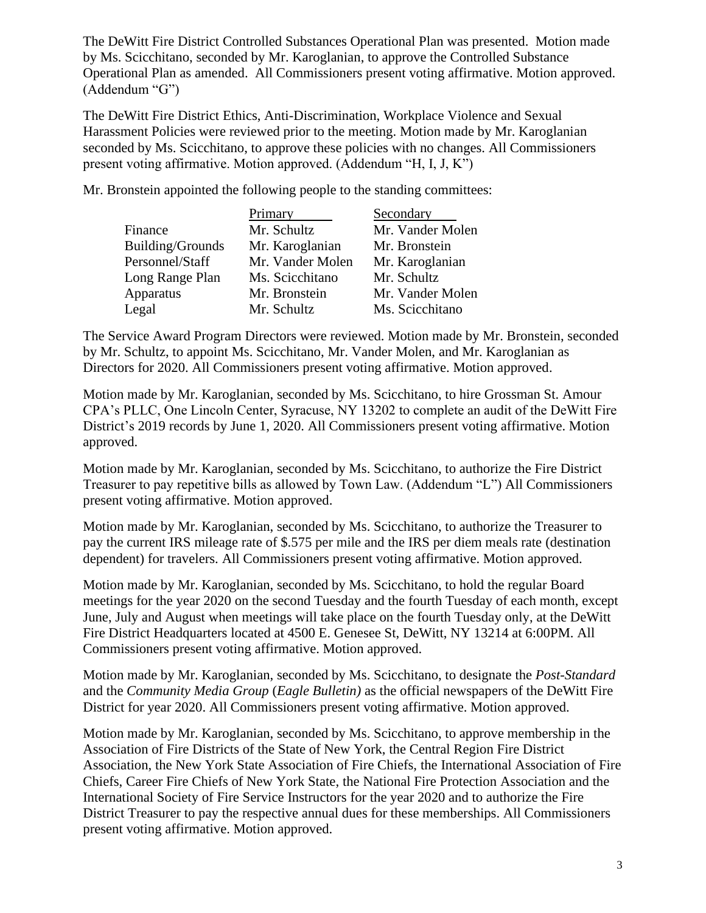The DeWitt Fire District Controlled Substances Operational Plan was presented. Motion made by Ms. Scicchitano, seconded by Mr. Karoglanian, to approve the Controlled Substance Operational Plan as amended. All Commissioners present voting affirmative. Motion approved. (Addendum "G")

The DeWitt Fire District Ethics, Anti-Discrimination, Workplace Violence and Sexual Harassment Policies were reviewed prior to the meeting. Motion made by Mr. Karoglanian seconded by Ms. Scicchitano, to approve these policies with no changes. All Commissioners present voting affirmative. Motion approved. (Addendum "H, I, J, K")

Mr. Bronstein appointed the following people to the standing committees:

|                         | Primary          | Secondary        |
|-------------------------|------------------|------------------|
| Finance                 | Mr. Schultz      | Mr. Vander Molen |
| <b>Building/Grounds</b> | Mr. Karoglanian  | Mr. Bronstein    |
| Personnel/Staff         | Mr. Vander Molen | Mr. Karoglanian  |
| Long Range Plan         | Ms. Scicchitano  | Mr. Schultz      |
| Apparatus               | Mr. Bronstein    | Mr. Vander Molen |
| Legal                   | Mr. Schultz      | Ms. Scicchitano  |

The Service Award Program Directors were reviewed. Motion made by Mr. Bronstein, seconded by Mr. Schultz, to appoint Ms. Scicchitano, Mr. Vander Molen, and Mr. Karoglanian as Directors for 2020. All Commissioners present voting affirmative. Motion approved.

Motion made by Mr. Karoglanian, seconded by Ms. Scicchitano, to hire Grossman St. Amour CPA's PLLC, One Lincoln Center, Syracuse, NY 13202 to complete an audit of the DeWitt Fire District's 2019 records by June 1, 2020. All Commissioners present voting affirmative. Motion approved.

Motion made by Mr. Karoglanian, seconded by Ms. Scicchitano, to authorize the Fire District Treasurer to pay repetitive bills as allowed by Town Law. (Addendum "L") All Commissioners present voting affirmative. Motion approved.

Motion made by Mr. Karoglanian, seconded by Ms. Scicchitano, to authorize the Treasurer to pay the current IRS mileage rate of \$.575 per mile and the IRS per diem meals rate (destination dependent) for travelers. All Commissioners present voting affirmative. Motion approved.

Motion made by Mr. Karoglanian, seconded by Ms. Scicchitano, to hold the regular Board meetings for the year 2020 on the second Tuesday and the fourth Tuesday of each month, except June, July and August when meetings will take place on the fourth Tuesday only, at the DeWitt Fire District Headquarters located at 4500 E. Genesee St, DeWitt, NY 13214 at 6:00PM. All Commissioners present voting affirmative. Motion approved.

Motion made by Mr. Karoglanian, seconded by Ms. Scicchitano, to designate the *Post-Standard* and the *Community Media Group* (*Eagle Bulletin)* as the official newspapers of the DeWitt Fire District for year 2020. All Commissioners present voting affirmative. Motion approved.

Motion made by Mr. Karoglanian, seconded by Ms. Scicchitano, to approve membership in the Association of Fire Districts of the State of New York, the Central Region Fire District Association, the New York State Association of Fire Chiefs, the International Association of Fire Chiefs, Career Fire Chiefs of New York State, the National Fire Protection Association and the International Society of Fire Service Instructors for the year 2020 and to authorize the Fire District Treasurer to pay the respective annual dues for these memberships. All Commissioners present voting affirmative. Motion approved.